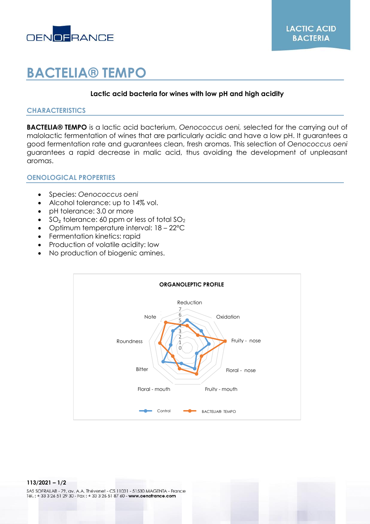

# **BACTELIA® TEMPO**

# **Lactic acid bacteria for wines with low pH and high acidity**

# **CHARACTERISTICS**

**BACTELIA® TEMPO** is a lactic acid bacterium, *Oenococcus oeni,* selected for the carrying out of malolactic fermentation of wines that are particularly acidic and have a low pH. It guarantees a good fermentation rate and guarantees clean, fresh aromas. This selection of *Oenococcus oeni* guarantees a rapid decrease in malic acid, thus avoiding the development of unpleasant aromas.

# **OENOLOGICAL PROPERTIES**

- Species: *Oenococcus oeni*
- Alcohol tolerance: up to 14% vol.
- pH tolerance: 3.0 or more
- $SO<sub>2</sub>$  tolerance: 60 ppm or less of total  $SO<sub>2</sub>$
- Optimum temperature interval: 18 22°C
- Fermentation kinetics: rapid
- Production of volatile acidity: low
- No production of biogenic amines.



#### **113/2021 – 1/2**

SAS SOFRALAB - 79, av. A.A. Thévenet - CS 11031 - 51530 MAGENTA - France Tél.: +33 3 26 51 29 30 - Fax: +33 3 26 51 87 60 - www.oenofrance.com